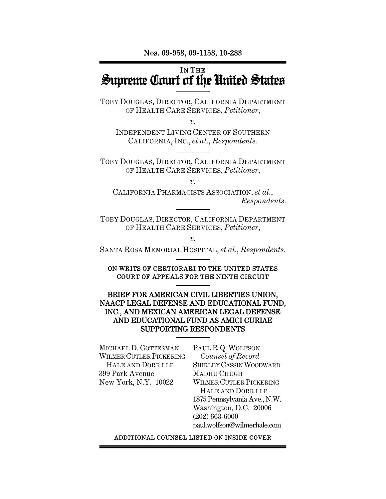Nos. 09-958, 09-1158, 10-283

# IN THE Supreme Court of the United States

TOBY DOUGLAS, DIRECTOR, CALIFORNIA DEPARTMENT OF HEALTH CARE SERVICES, *Petitioner*,

 $\overline{\nu}$ .

INDEPENDENT LIVING CENTER OF SOUTHERN CALIFORNIA, INC., *et al.*, *Respondents.*

TOBY DOUGLAS, DIRECTOR, CALIFORNIA DEPARTMENT OF HEALTH CARE SERVICES, *Petitioner*,

*v.* 

CALIFORNIA PHARMACISTS ASSOCIATION, *et al.*, *Respondents.* 

TOBY DOUGLAS, DIRECTOR, CALIFORNIA DEPARTMENT OF HEALTH CARE SERVICES, *Petitioner*,

 $\overline{\nu}$ .

SANTA ROSA MEMORIAL HOSPITAL, *et al.*, *Respondents.*

ON WRITS OF CERTIORARI TO THE UNITED STATES COURT OF APPEALS FOR THE NINTH CIRCUIT

#### BRIEF FOR AMERICAN CIVIL LIBERTIES UNION, NAACP LEGAL DEFENSE AND EDUCATIONAL FUND, INC., AND MEXICAN AMERICAN LEGAL DEFENSE AND EDUCATIONAL FUND AS AMICI CURIAE SUPPORTING RESPONDENTS

MICHAEL D. GOTTESMAN WILMER CUTLER PICKERING HALE AND DORR LLP 399 Park Avenue New York, N.Y. 10022

PAUL R.Q. WOLFSON *Counsel of Record* SHIRLEY CASSIN WOODWARD MADHU CHUGH WILMER CUTLER PICKERING HALE AND DORR LLP 1875 Pennsylvania Ave., N.W. Washington, D.C. 20006 (202) 663-6000 paul.wolfson@wilmerhale.com

#### ADDITIONAL COUNSEL LISTED ON INSIDE COVER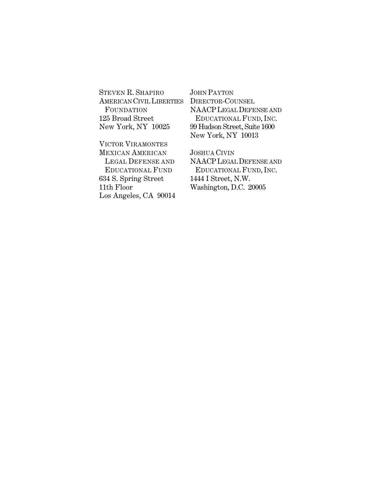STEVEN R. SHAPIRO AMERICAN CIVIL LIBERTIES FOUNDATION 125 Broad Street New York, NY 10025

VICTOR VIRAMONTES MEXICAN AMERICAN LEGAL DEFENSE AND EDUCATIONAL FUND 634 S. Spring Street 11th Floor Los Angeles, CA 90014

JOHN PAYTON DIRECTOR-COUNSEL NAACPLEGAL DEFENSE AND EDUCATIONAL FUND, INC. 99 Hudson Street, Suite 1600 New York, NY 10013

JOSHUA CIVIN NAACPLEGAL DEFENSE AND EDUCATIONAL FUND, INC. 1444 I Street, N.W. Washington, D.C. 20005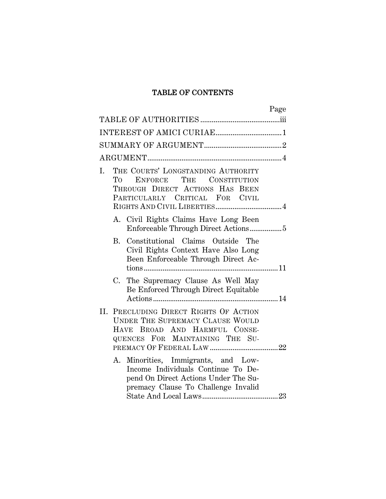# TABLE OF CONTENTS

| Page                                                                                                                                                     |
|----------------------------------------------------------------------------------------------------------------------------------------------------------|
|                                                                                                                                                          |
|                                                                                                                                                          |
|                                                                                                                                                          |
|                                                                                                                                                          |
| THE COURTS' LONGSTANDING AUTHORITY<br>I.<br>ENFORCE THE<br>CONSTITUTION<br>Tо<br>THROUGH DIRECT ACTIONS HAS BEEN<br>PARTICULARLY CRITICAL FOR CIVIL      |
| A. Civil Rights Claims Have Long Been                                                                                                                    |
| B. Constitutional Claims Outside The<br>Civil Rights Context Have Also Long<br>Been Enforceable Through Direct Ac-                                       |
| C. The Supremacy Clause As Well May<br>Be Enforced Through Direct Equitable                                                                              |
| II. PRECLUDING DIRECT RIGHTS OF ACTION<br><b>UNDER THE SUPREMACY CLAUSE WOULD</b><br>HAVE BROAD AND HARMFUL CONSE-<br>QUENCES FOR MAINTAINING THE SU-    |
| A. Minorities, Immigrants, and Low-<br>Income Individuals Continue To De-<br>pend On Direct Actions Under The Su-<br>premacy Clause To Challenge Invalid |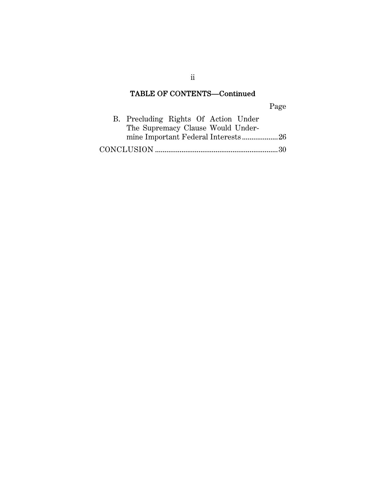## TABLE OF CONTENTS—Continued

Page

| B. Precluding Rights Of Action Under |  |  |  |
|--------------------------------------|--|--|--|
| The Supremacy Clause Would Under-    |  |  |  |
| mine Important Federal Interests26   |  |  |  |
|                                      |  |  |  |

ii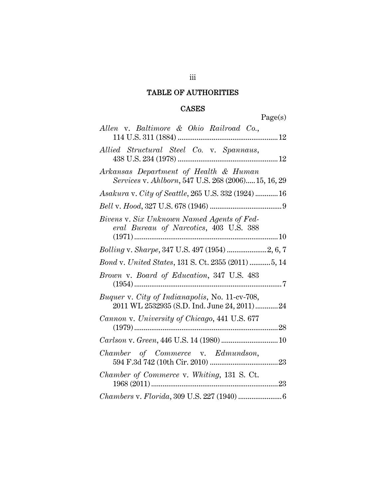# TABLE OF AUTHORITIES

### CASES

Page(s)

| Allen v. Baltimore & Ohio Railroad Co.,                                                       |
|-----------------------------------------------------------------------------------------------|
| Allied Structural Steel Co. v. Spannaus,                                                      |
| Arkansas Department of Health & Human<br>Services v. Ahlborn, 547 U.S. 268 (2006) 15, 16, 29  |
| Asakura v. City of Seattle, 265 U.S. 332 (1924)  16                                           |
|                                                                                               |
| Bivens v. Six Unknown Named Agents of Fed-<br>eral Bureau of Narcotics, 403 U.S. 388          |
| Bolling v. Sharpe, 347 U.S. 497 (1954) 2, 6, 7                                                |
| Bond v. United States, 131 S. Ct. 2355 (2011) 5, 14                                           |
| Brown v. Board of Education, 347 U.S. 483                                                     |
| Buquer v. City of Indianapolis, No. 11-cv-708,<br>2011 WL 2532935 (S.D. Ind. June 24, 2011)24 |
| Cannon v. University of Chicago, 441 U.S. 677                                                 |
|                                                                                               |
| Chamber of Commerce v. Edmundson,                                                             |
| Chamber of Commerce v. Whiting, 131 S. Ct.                                                    |
|                                                                                               |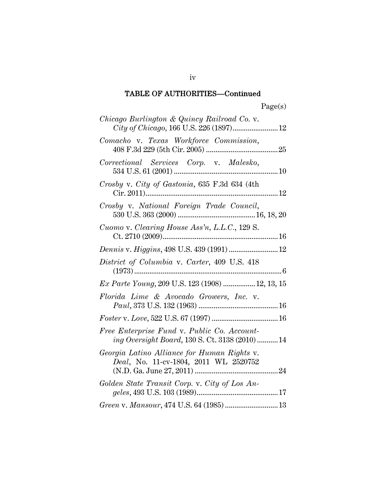| Chicago Burlington & Quincy Railroad Co. v.<br>City of Chicago, 166 U.S. 226 (1897) 12        |
|-----------------------------------------------------------------------------------------------|
| Comacho v. Texas Workforce Commission,                                                        |
| Correctional Services Corp. v. Malesko,                                                       |
| Crosby v. City of Gastonia, 635 F.3d 634 (4th                                                 |
| Crosby v. National Foreign Trade Council,                                                     |
| Cuomo v. Clearing House Ass'n, L.L.C., 129 S.                                                 |
| Dennis v. Higgins, 498 U.S. 439 (1991)  12                                                    |
| District of Columbia v. Carter, 409 U.S. 418                                                  |
| Ex Parte Young, 209 U.S. 123 (1908)  12, 13, 15                                               |
| Florida Lime & Avocado Growers, Inc. v.                                                       |
|                                                                                               |
| Free Enterprise Fund v. Public Co. Account-<br>ing Oversight Board, 130 S. Ct. 3138 (2010) 14 |
| Georgia Latino Alliance for Human Rights v.<br>Deal, No. 11-cv-1804, 2011 WL 2520752          |
| Golden State Transit Corp. v. City of Los An-                                                 |
| Green v. Mansour, 474 U.S. 64 (1985)  13                                                      |

iv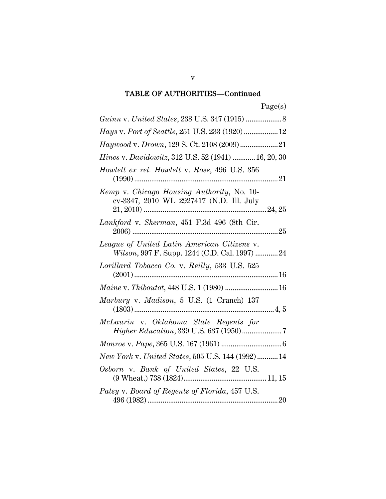| Hays v. Port of Seattle, 251 U.S. 233 (1920)  12                                             |
|----------------------------------------------------------------------------------------------|
| Haywood v. Drown, 129 S. Ct. 2108 (2009) 21                                                  |
| <i>Hines v. Davidowitz</i> , 312 U.S. 52 (1941)  16, 20, 30                                  |
| Howlett ex rel. Howlett v. Rose, 496 U.S. 356                                                |
| Kemp v. Chicago Housing Authority, No. 10-<br>cv-3347, 2010 WL 2927417 (N.D. Ill. July       |
| Lankford v. Sherman, 451 F.3d 496 (8th Cir.                                                  |
| League of United Latin American Citizens v.<br>Wilson, 997 F. Supp. 1244 (C.D. Cal. 1997) 24 |
| Lorillard Tobacco Co. v. Reilly, 533 U.S. 525                                                |
| Maine v. Thiboutot, 448 U.S. 1 (1980)  16                                                    |
| Marbury v. Madison, 5 U.S. (1 Cranch) 137                                                    |
| McLaurin v. Oklahoma State Regents for                                                       |
|                                                                                              |
| New York v. United States, 505 U.S. 144 (1992) 14                                            |
| Osborn v. Bank of United States, 22 U.S.                                                     |
| Patsy v. Board of Regents of Florida, 457 U.S.                                               |

v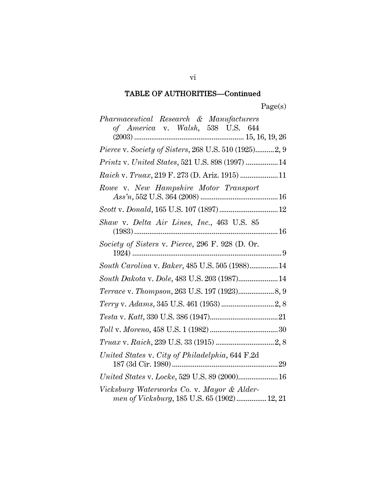| Pharmaceutical Research & Manufacturers                                                   |
|-------------------------------------------------------------------------------------------|
| of America v. Walsh, 538 U.S. 644                                                         |
| <i>Pierce v. Society of Sisters, 268 U.S. 510 (1925)2, 9</i>                              |
| Printz v. United States, 521 U.S. 898 (1997)  14                                          |
| Raich v. Truax, 219 F. 273 (D. Ariz. 1915)  11                                            |
| Rowe v. New Hampshire Motor Transport                                                     |
|                                                                                           |
| Shaw v. Delta Air Lines, Inc., 463 U.S. 85                                                |
| Society of Sisters v. Pierce, 296 F. 928 (D. Or.                                          |
| South Carolina v. Baker, 485 U.S. 505 (1988) 14                                           |
| South Dakota v. Dole, 483 U.S. 203 (1987) 14                                              |
|                                                                                           |
|                                                                                           |
|                                                                                           |
|                                                                                           |
|                                                                                           |
| United States v. City of Philadelphia, 644 F.2d                                           |
| United States v. Locke, 529 U.S. 89 (2000) 16                                             |
| Vicksburg Waterworks Co. v. Mayor & Alder-<br>men of Vicksburg, 185 U.S. 65 (1902) 12, 21 |

vi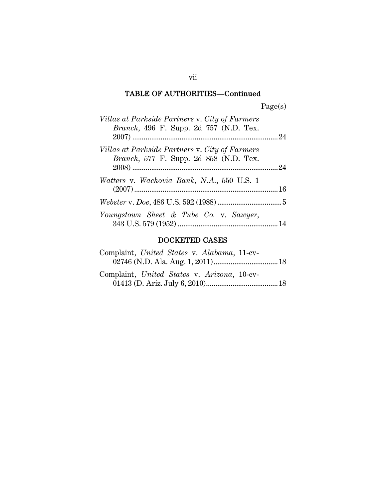| Villas at Parkside Partners v. City of Farmers<br><i>Branch</i> , 496 F. Supp. 2d 757 (N.D. Tex. |  |
|--------------------------------------------------------------------------------------------------|--|
| Villas at Parkside Partners v. City of Farmers<br><i>Branch</i> , 577 F. Supp. 2d 858 (N.D. Tex. |  |
| <i>Watters v. Wachovia Bank, N.A.,</i> 550 U.S. 1                                                |  |
|                                                                                                  |  |
| Youngstown Sheet & Tube Co. v. Sawyer,                                                           |  |

# DOCKETED CASES

| Complaint, United States v. Alabama, 11-cv- |  |
|---------------------------------------------|--|
|                                             |  |
| Complaint, United States v. Arizona, 10-cv- |  |
|                                             |  |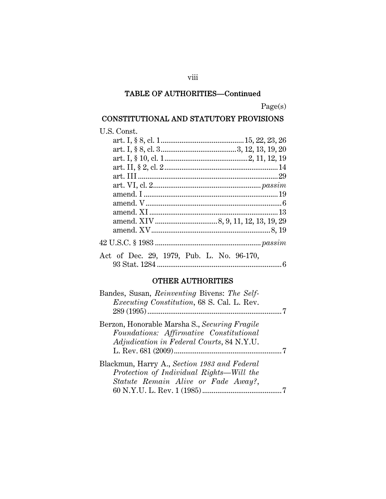Page(s)

# CONSTITUTIONAL AND STATUTORY PROVISIONS

| U.S. Const.                               |  |
|-------------------------------------------|--|
|                                           |  |
|                                           |  |
|                                           |  |
|                                           |  |
|                                           |  |
|                                           |  |
|                                           |  |
|                                           |  |
|                                           |  |
|                                           |  |
|                                           |  |
|                                           |  |
|                                           |  |
| Act of Dec. 29, 1979, Pub. L. No. 96-170, |  |
|                                           |  |
|                                           |  |

### OTHER AUTHORITIES

| Bandes, Susan, <i>Reinventing</i> Bivens: <i>The Self-</i><br><i>Executing Constitution</i> , 68 S. Cal. L. Rev.                             |  |
|----------------------------------------------------------------------------------------------------------------------------------------------|--|
| Berzon, Honorable Marsha S., Securing Fragile<br>Foundations: Affirmative Constitutional<br><i>Adjudication in Federal Courts, 84 N.Y.U.</i> |  |
| Blackmun, Harry A., Section 1983 and Federal<br>Protection of Individual Rights—Will the<br>Statute Remain Alive or Fade Away?,              |  |

## viii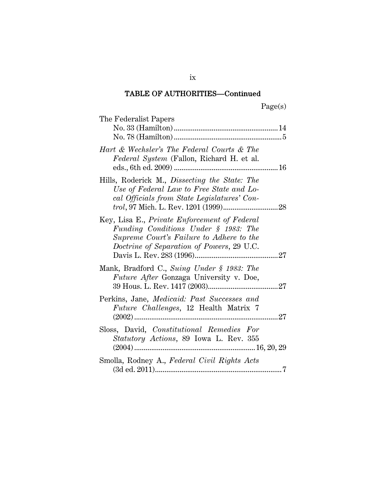| The Federalist Papers                                                                                                                                                         |
|-------------------------------------------------------------------------------------------------------------------------------------------------------------------------------|
| Hart & Wechsler's The Federal Courts & The<br>Federal System (Fallon, Richard H. et al.                                                                                       |
| Hills, Roderick M., Dissecting the State: The<br>Use of Federal Law to Free State and Lo-<br>cal Officials from State Legislatures' Con-                                      |
| Key, Lisa E., Private Enforcement of Federal<br>Funding Conditions Under § 1983: The<br>Supreme Court's Failure to Adhere to the<br>Doctrine of Separation of Powers, 29 U.C. |
| Mank, Bradford C., Suing Under § 1983: The<br>Future After Gonzaga University v. Doe,                                                                                         |
| Perkins, Jane, Medicaid: Past Successes and<br><i>Future Challenges</i> , 12 Health Matrix 7<br>27<br>$(2002)$                                                                |
| Sloss, David, Constitutional Remedies For<br><i>Statutory Actions</i> , 89 Iowa L. Rev. 355                                                                                   |
| Smolla, Rodney A., Federal Civil Rights Acts                                                                                                                                  |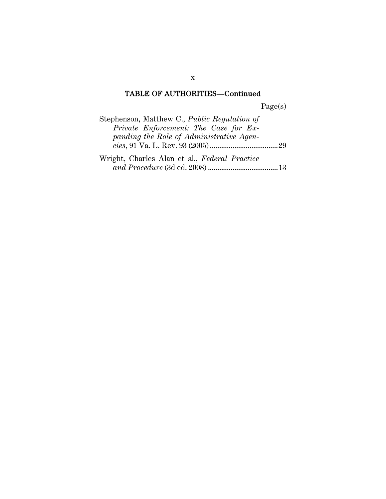Page(s)

| Stephenson, Matthew C., Public Regulation of  |  |
|-----------------------------------------------|--|
| Private Enforcement: The Case for Ex-         |  |
| panding the Role of Administrative Agen-      |  |
|                                               |  |
| Wright, Charles Alan et al., Federal Practice |  |
|                                               |  |

x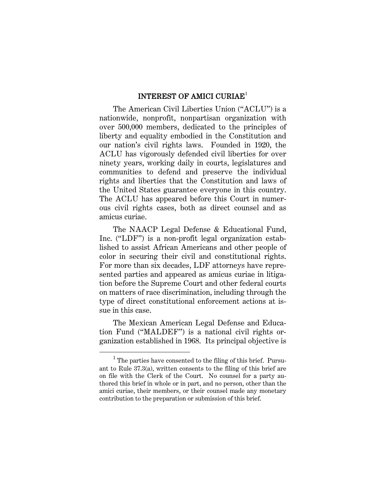#### INTEREST OF AMICI CURIAE<sup>1</sup>

The American Civil Liberties Union ("ACLU") is a nationwide, nonprofit, nonpartisan organization with over 500,000 members, dedicated to the principles of liberty and equality embodied in the Constitution and our nation's civil rights laws. Founded in 1920, the ACLU has vigorously defended civil liberties for over ninety years, working daily in courts, legislatures and communities to defend and preserve the individual rights and liberties that the Constitution and laws of the United States guarantee everyone in this country. The ACLU has appeared before this Court in numerous civil rights cases, both as direct counsel and as amicus curiae.

The NAACP Legal Defense & Educational Fund, Inc. ("LDF") is a non-profit legal organization established to assist African Americans and other people of color in securing their civil and constitutional rights. For more than six decades, LDF attorneys have represented parties and appeared as amicus curiae in litigation before the Supreme Court and other federal courts on matters of race discrimination, including through the type of direct constitutional enforcement actions at issue in this case.

The Mexican American Legal Defense and Education Fund ("MALDEF") is a national civil rights organization established in 1968. Its principal objective is

 $\overline{\phantom{0}1}$  $<sup>1</sup>$  The parties have consented to the filing of this brief. Pursu-</sup> ant to Rule 37.3(a), written consents to the filing of this brief are on file with the Clerk of the Court. No counsel for a party authored this brief in whole or in part, and no person, other than the amici curiae, their members, or their counsel made any monetary contribution to the preparation or submission of this brief.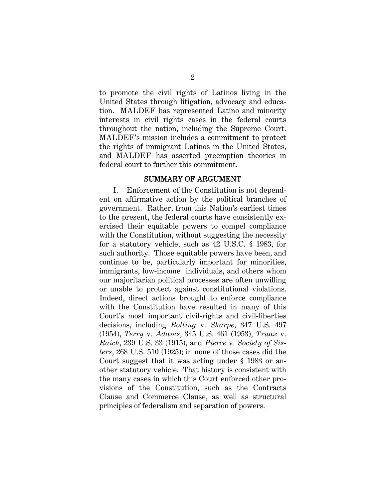to promote the civil rights of Latinos living in the United States through litigation, advocacy and education. MALDEF has represented Latino and minority interests in civil rights cases in the federal courts throughout the nation, including the Supreme Court. MALDEF's mission includes a commitment to protect the rights of immigrant Latinos in the United States, and MALDEF has asserted preemption theories in federal court to further this commitment.

#### SUMMARY OF ARGUMENT

I. Enforcement of the Constitution is not dependent on affirmative action by the political branches of government. Rather, from this Nation's earliest times to the present, the federal courts have consistently exercised their equitable powers to compel compliance with the Constitution, without suggesting the necessity for a statutory vehicle, such as 42 U.S.C. § 1983, for such authority. Those equitable powers have been, and continue to be, particularly important for minorities, immigrants, low-income individuals, and others whom our majoritarian political processes are often unwilling or unable to protect against constitutional violations. Indeed, direct actions brought to enforce compliance with the Constitution have resulted in many of this Court's most important civil-rights and civil-liberties decisions, including *Bolling* v. *Sharpe*, 347 U.S. 497 (1954), *Terry* v. *Adams*, 345 U.S. 461 (1953), *Truax* v. *Raich*, 239 U.S. 33 (1915), and *Pierce* v. *Society of Sisters*, 268 U.S. 510 (1925); in none of those cases did the Court suggest that it was acting under § 1983 or another statutory vehicle. That history is consistent with the many cases in which this Court enforced other provisions of the Constitution, such as the Contracts Clause and Commerce Clause, as well as structural principles of federalism and separation of powers.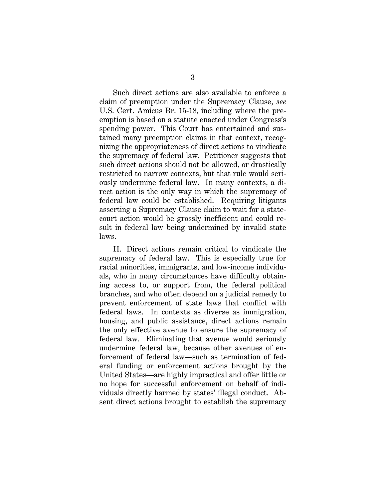Such direct actions are also available to enforce a claim of preemption under the Supremacy Clause, *see* U.S. Cert. Amicus Br. 15-18, including where the preemption is based on a statute enacted under Congress's spending power. This Court has entertained and sustained many preemption claims in that context, recognizing the appropriateness of direct actions to vindicate the supremacy of federal law. Petitioner suggests that such direct actions should not be allowed, or drastically restricted to narrow contexts, but that rule would seriously undermine federal law. In many contexts, a direct action is the only way in which the supremacy of federal law could be established. Requiring litigants asserting a Supremacy Clause claim to wait for a statecourt action would be grossly inefficient and could result in federal law being undermined by invalid state laws.

II. Direct actions remain critical to vindicate the supremacy of federal law. This is especially true for racial minorities, immigrants, and low-income individuals, who in many circumstances have difficulty obtaining access to, or support from, the federal political branches, and who often depend on a judicial remedy to prevent enforcement of state laws that conflict with federal laws. In contexts as diverse as immigration, housing, and public assistance, direct actions remain the only effective avenue to ensure the supremacy of federal law. Eliminating that avenue would seriously undermine federal law, because other avenues of enforcement of federal law—such as termination of federal funding or enforcement actions brought by the United States—are highly impractical and offer little or no hope for successful enforcement on behalf of individuals directly harmed by states' illegal conduct. Absent direct actions brought to establish the supremacy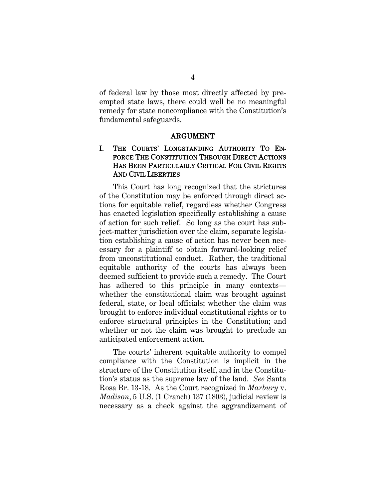of federal law by those most directly affected by preempted state laws, there could well be no meaningful remedy for state noncompliance with the Constitution's fundamental safeguards.

#### ARGUMENT

### I. THE COURTS' LONGSTANDING AUTHORITY TO EN-FORCE THE CONSTITUTION THROUGH DIRECT ACTIONS HAS BEEN PARTICULARLY CRITICAL FOR CIVIL RIGHTS AND CIVIL LIBERTIES

This Court has long recognized that the strictures of the Constitution may be enforced through direct actions for equitable relief, regardless whether Congress has enacted legislation specifically establishing a cause of action for such relief. So long as the court has subject-matter jurisdiction over the claim, separate legislation establishing a cause of action has never been necessary for a plaintiff to obtain forward-looking relief from unconstitutional conduct. Rather, the traditional equitable authority of the courts has always been deemed sufficient to provide such a remedy. The Court has adhered to this principle in many contexts whether the constitutional claim was brought against federal, state, or local officials; whether the claim was brought to enforce individual constitutional rights or to enforce structural principles in the Constitution; and whether or not the claim was brought to preclude an anticipated enforcement action.

The courts' inherent equitable authority to compel compliance with the Constitution is implicit in the structure of the Constitution itself, and in the Constitution's status as the supreme law of the land. *See* Santa Rosa Br. 13-18. As the Court recognized in *Marbury* v. *Madison*, 5 U.S. (1 Cranch) 137 (1803), judicial review is necessary as a check against the aggrandizement of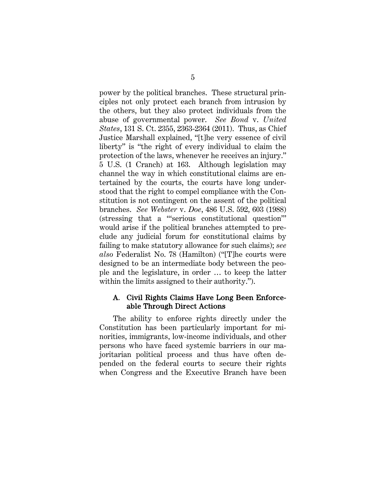power by the political branches. These structural principles not only protect each branch from intrusion by the others, but they also protect individuals from the abuse of governmental power. *See Bond* v. *United States*, 131 S. Ct. 2355, 2363-2364 (2011). Thus, as Chief Justice Marshall explained, "[t]he very essence of civil liberty" is "the right of every individual to claim the protection of the laws, whenever he receives an injury." 5 U.S. (1 Cranch) at 163. Although legislation may channel the way in which constitutional claims are entertained by the courts, the courts have long understood that the right to compel compliance with the Constitution is not contingent on the assent of the political branches. *See Webster* v. *Doe*, 486 U.S. 592, 603 (1988) (stressing that a "'serious constitutional question'" would arise if the political branches attempted to preclude any judicial forum for constitutional claims by failing to make statutory allowance for such claims); *see also* Federalist No. 78 (Hamilton) ("[T]he courts were designed to be an intermediate body between the people and the legislature, in order … to keep the latter within the limits assigned to their authority.").

#### A. Civil Rights Claims Have Long Been Enforceable Through Direct Actions

The ability to enforce rights directly under the Constitution has been particularly important for minorities, immigrants, low-income individuals, and other persons who have faced systemic barriers in our majoritarian political process and thus have often depended on the federal courts to secure their rights when Congress and the Executive Branch have been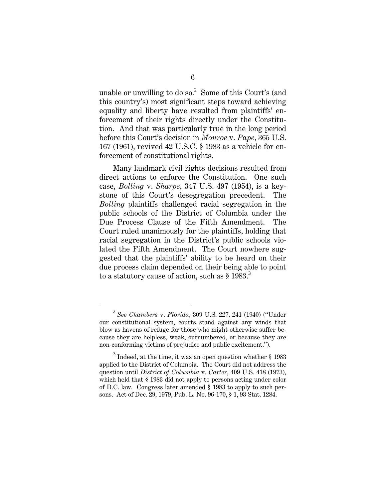unable or unwilling to do so.<sup>2</sup> Some of this Court's (and this country's) most significant steps toward achieving equality and liberty have resulted from plaintiffs' enforcement of their rights directly under the Constitution. And that was particularly true in the long period before this Court's decision in *Monroe* v. *Pape*, 365 U.S. 167 (1961), revived 42 U.S.C. § 1983 as a vehicle for enforcement of constitutional rights.

Many landmark civil rights decisions resulted from direct actions to enforce the Constitution. One such case, *Bolling* v. *Sharpe*, 347 U.S. 497 (1954), is a keystone of this Court's desegregation precedent. The *Bolling* plaintiffs challenged racial segregation in the public schools of the District of Columbia under the Due Process Clause of the Fifth Amendment. The Court ruled unanimously for the plaintiffs, holding that racial segregation in the District's public schools violated the Fifth Amendment. The Court nowhere suggested that the plaintiffs' ability to be heard on their due process claim depended on their being able to point to a statutory cause of action, such as § 1983.<sup>3</sup>

<sup>2</sup> *See Chambers* v. *Florida*, 309 U.S. 227, 241 (1940) ("Under our constitutional system, courts stand against any winds that blow as havens of refuge for those who might otherwise suffer because they are helpless, weak, outnumbered, or because they are non-conforming victims of prejudice and public excitement.").

 $3$  Indeed, at the time, it was an open question whether  $\S 1983$ applied to the District of Columbia. The Court did not address the question until *District of Columbia* v. *Carter*, 409 U.S. 418 (1973), which held that § 1983 did not apply to persons acting under color of D.C. law. Congress later amended § 1983 to apply to such persons. Act of Dec. 29, 1979, Pub. L. No. 96-170, § 1, 93 Stat. 1284.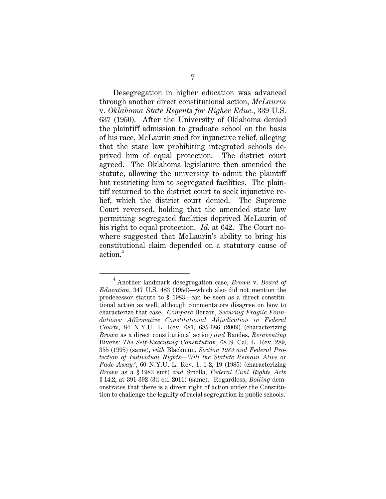Desegregation in higher education was advanced through another direct constitutional action, *McLaurin*  v. *Oklahoma State Regents for Higher Educ.*, 339 U.S. 637 (1950). After the University of Oklahoma denied the plaintiff admission to graduate school on the basis of his race, McLaurin sued for injunctive relief, alleging that the state law prohibiting integrated schools deprived him of equal protection. The district court agreed. The Oklahoma legislature then amended the statute, allowing the university to admit the plaintiff but restricting him to segregated facilities. The plaintiff returned to the district court to seek injunctive relief, which the district court denied. The Supreme Court reversed, holding that the amended state law permitting segregated facilities deprived McLaurin of his right to equal protection. *Id.* at 642. The Court nowhere suggested that McLaurin's ability to bring his constitutional claim depended on a statutory cause of action.<sup>4</sup>

<sup>4</sup> Another landmark desegregation case, *Brown* v. *Board of Education*, 347 U.S. 483 (1954)—which also did not mention the predecessor statute to § 1983—can be seen as a direct constitutional action as well, although commentators disagree on how to characterize that case. *Compare* Berzon, *Securing Fragile Foundations: Affirmative Constitutional Adjudication in Federal Courts*, 84 N.Y.U. L. Rev. 681, 685-686 (2009) (characterizing *Brown* as a direct constitutional action) *and* Bandes, *Reinventing*  Bivens*: The Self-Executing Constitution*, 68 S. Cal. L. Rev. 289, 355 (1995) (same), *with* Blackmun, *Section 1983 and Federal Protection of Individual Rights—Will the Statute Remain Alive or Fade Away?*, 60 N.Y.U. L. Rev. 1, 1-2, 19 (1985) (characterizing *Brown* as a § 1983 suit) *and* Smolla, *Federal Civil Rights Acts* § 14:2, at 391-392 (3d ed. 2011) (same). Regardless, *Bolling* demonstrates that there is a direct right of action under the Constitution to challenge the legality of racial segregation in public schools.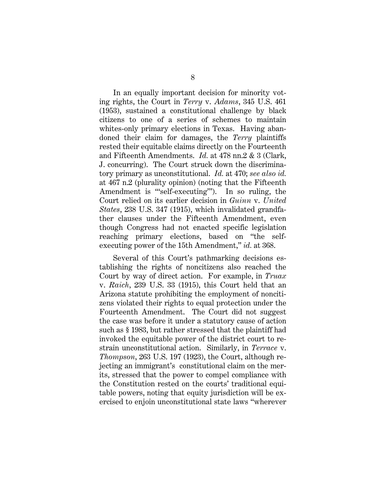In an equally important decision for minority voting rights, the Court in *Terry* v. *Adams*, 345 U.S. 461 (1953), sustained a constitutional challenge by black citizens to one of a series of schemes to maintain whites-only primary elections in Texas. Having abandoned their claim for damages, the *Terry* plaintiffs rested their equitable claims directly on the Fourteenth and Fifteenth Amendments. *Id.* at 478 nn.2 & 3 (Clark, J. concurring). The Court struck down the discriminatory primary as unconstitutional. *Id.* at 470; *see also id.* at 467 n.2 (plurality opinion) (noting that the Fifteenth Amendment is "'self-executing'"). In so ruling, the Court relied on its earlier decision in *Guinn* v. *United States*, 238 U.S. 347 (1915), which invalidated grandfather clauses under the Fifteenth Amendment, even though Congress had not enacted specific legislation reaching primary elections, based on "the selfexecuting power of the 15th Amendment," *id.* at 368.

Several of this Court's pathmarking decisions establishing the rights of noncitizens also reached the Court by way of direct action. For example, in *Truax* v. *Raich*, 239 U.S. 33 (1915), this Court held that an Arizona statute prohibiting the employment of noncitizens violated their rights to equal protection under the Fourteenth Amendment. The Court did not suggest the case was before it under a statutory cause of action such as § 1983, but rather stressed that the plaintiff had invoked the equitable power of the district court to restrain unconstitutional action. Similarly, in *Terrace* v. *Thompson*, 263 U.S. 197 (1923), the Court, although rejecting an immigrant's constitutional claim on the merits, stressed that the power to compel compliance with the Constitution rested on the courts' traditional equitable powers, noting that equity jurisdiction will be exercised to enjoin unconstitutional state laws "wherever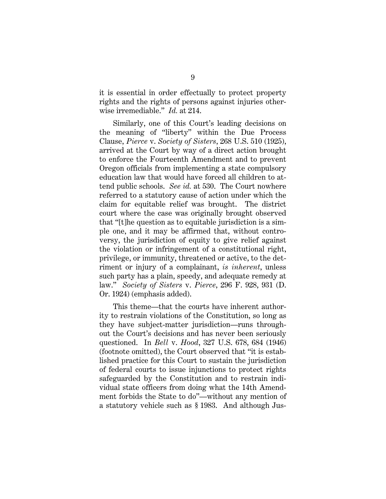it is essential in order effectually to protect property rights and the rights of persons against injuries otherwise irremediable." *Id.* at 214.

Similarly, one of this Court's leading decisions on the meaning of "liberty" within the Due Process Clause, *Pierce* v. *Society of Sisters*, 268 U.S. 510 (1925), arrived at the Court by way of a direct action brought to enforce the Fourteenth Amendment and to prevent Oregon officials from implementing a state compulsory education law that would have forced all children to attend public schools. *See id.* at 530. The Court nowhere referred to a statutory cause of action under which the claim for equitable relief was brought. The district court where the case was originally brought observed that "[t]he question as to equitable jurisdiction is a simple one, and it may be affirmed that, without controversy, the jurisdiction of equity to give relief against the violation or infringement of a constitutional right, privilege, or immunity, threatened or active, to the detriment or injury of a complainant, *is inherent*, unless such party has a plain, speedy, and adequate remedy at law." *Society of Sisters* v. *Pierce*, 296 F. 928, 931 (D. Or. 1924) (emphasis added).

This theme—that the courts have inherent authority to restrain violations of the Constitution, so long as they have subject-matter jurisdiction—runs throughout the Court's decisions and has never been seriously questioned. In *Bell* v. *Hood*, 327 U.S. 678, 684 (1946) (footnote omitted), the Court observed that "it is established practice for this Court to sustain the jurisdiction of federal courts to issue injunctions to protect rights safeguarded by the Constitution and to restrain individual state officers from doing what the 14th Amendment forbids the State to do"—without any mention of a statutory vehicle such as § 1983. And although Jus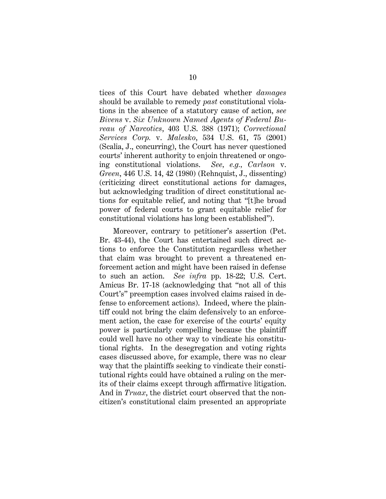tices of this Court have debated whether *damages*  should be available to remedy *past* constitutional violations in the absence of a statutory cause of action, *see Bivens* v. *Six Unknown Named Agents of Federal Bureau of Narcotics*, 403 U.S. 388 (1971); *Correctional Services Corp.* v. *Malesko*, 534 U.S. 61, 75 (2001) (Scalia, J., concurring), the Court has never questioned courts' inherent authority to enjoin threatened or ongoing constitutional violations. *See, e.g., Carlson* v. *Green*, 446 U.S. 14, 42 (1980) (Rehnquist, J., dissenting) (criticizing direct constitutional actions for damages, but acknowledging tradition of direct constitutional actions for equitable relief, and noting that "[t]he broad power of federal courts to grant equitable relief for constitutional violations has long been established").

Moreover, contrary to petitioner's assertion (Pet. Br. 43-44), the Court has entertained such direct actions to enforce the Constitution regardless whether that claim was brought to prevent a threatened enforcement action and might have been raised in defense to such an action. *See infra* pp. 18-22; U.S. Cert. Amicus Br. 17-18 (acknowledging that "not all of this Court's" preemption cases involved claims raised in defense to enforcement actions). Indeed, where the plaintiff could not bring the claim defensively to an enforcement action, the case for exercise of the courts' equity power is particularly compelling because the plaintiff could well have no other way to vindicate his constitutional rights. In the desegregation and voting rights cases discussed above, for example, there was no clear way that the plaintiffs seeking to vindicate their constitutional rights could have obtained a ruling on the merits of their claims except through affirmative litigation. And in *Truax*, the district court observed that the noncitizen's constitutional claim presented an appropriate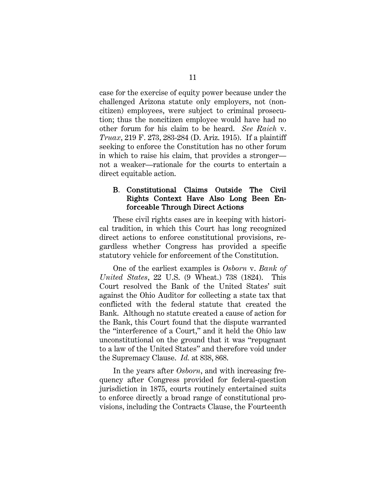case for the exercise of equity power because under the challenged Arizona statute only employers, not (noncitizen) employees, were subject to criminal prosecution; thus the noncitizen employee would have had no other forum for his claim to be heard. *See Raich* v. *Truax*, 219 F. 273, 283-284 (D. Ariz. 1915). If a plaintiff seeking to enforce the Constitution has no other forum in which to raise his claim, that provides a stronger not a weaker—rationale for the courts to entertain a direct equitable action.

#### B. Constitutional Claims Outside The Civil Rights Context Have Also Long Been Enforceable Through Direct Actions

These civil rights cases are in keeping with historical tradition, in which this Court has long recognized direct actions to enforce constitutional provisions, regardless whether Congress has provided a specific statutory vehicle for enforcement of the Constitution.

One of the earliest examples is *Osborn* v. *Bank of United States*, 22 U.S. (9 Wheat.) 738 (1824). This Court resolved the Bank of the United States' suit against the Ohio Auditor for collecting a state tax that conflicted with the federal statute that created the Bank. Although no statute created a cause of action for the Bank, this Court found that the dispute warranted the "interference of a Court," and it held the Ohio law unconstitutional on the ground that it was "repugnant to a law of the United States" and therefore void under the Supremacy Clause. *Id.* at 838, 868.

In the years after *Osborn*, and with increasing frequency after Congress provided for federal-question jurisdiction in 1875, courts routinely entertained suits to enforce directly a broad range of constitutional provisions, including the Contracts Clause, the Fourteenth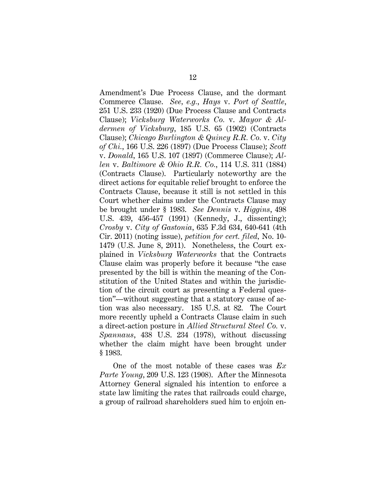Amendment's Due Process Clause, and the dormant Commerce Clause. *See, e.g.*, *Hays* v. *Port of Seattle*, 251 U.S. 233 (1920) (Due Process Clause and Contracts Clause); *Vicksburg Waterworks Co.* v. *Mayor & Aldermen of Vicksburg*, 185 U.S. 65 (1902) (Contracts Clause); *Chicago Burlington & Quincy R.R. Co.* v. *City of Chi.*, 166 U.S. 226 (1897) (Due Process Clause); *Scott*  v. *Donald*, 165 U.S. 107 (1897) (Commerce Clause); *Allen* v. *Baltimore & Ohio R.R. Co.*, 114 U.S. 311 (1884) (Contracts Clause). Particularly noteworthy are the direct actions for equitable relief brought to enforce the Contracts Clause, because it still is not settled in this Court whether claims under the Contracts Clause may be brought under § 1983. *See Dennis* v. *Higgins*, 498 U.S. 439, 456-457 (1991) (Kennedy, J., dissenting); *Crosby* v. *City of Gastonia*, 635 F.3d 634, 640-641 (4th Cir. 2011) (noting issue), *petition for cert. filed,* No. 10- 1479 (U.S. June 8, 2011). Nonetheless, the Court explained in *Vicksburg Waterworks* that the Contracts Clause claim was properly before it because "the case presented by the bill is within the meaning of the Constitution of the United States and within the jurisdiction of the circuit court as presenting a Federal question"—without suggesting that a statutory cause of action was also necessary. 185 U.S. at 82. The Court more recently upheld a Contracts Clause claim in such a direct-action posture in *Allied Structural Steel Co.* v. *Spannaus*, 438 U.S. 234 (1978), without discussing whether the claim might have been brought under § 1983.

One of the most notable of these cases was *Ex Parte Young*, 209 U.S. 123 (1908). After the Minnesota Attorney General signaled his intention to enforce a state law limiting the rates that railroads could charge, a group of railroad shareholders sued him to enjoin en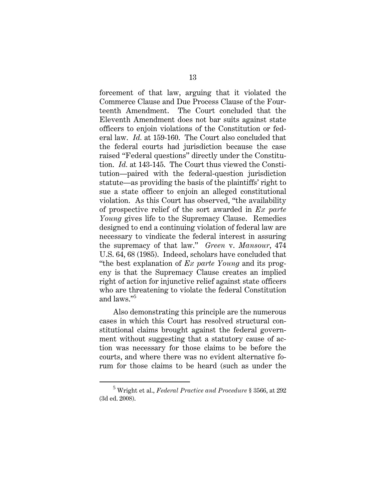forcement of that law, arguing that it violated the Commerce Clause and Due Process Clause of the Fourteenth Amendment. The Court concluded that the Eleventh Amendment does not bar suits against state officers to enjoin violations of the Constitution or federal law. *Id.* at 159-160. The Court also concluded that the federal courts had jurisdiction because the case raised "Federal questions" directly under the Constitution. *Id.* at 143-145. The Court thus viewed the Constitution—paired with the federal-question jurisdiction statute—as providing the basis of the plaintiffs' right to sue a state officer to enjoin an alleged constitutional violation. As this Court has observed, "the availability of prospective relief of the sort awarded in *Ex parte Young* gives life to the Supremacy Clause. Remedies designed to end a continuing violation of federal law are necessary to vindicate the federal interest in assuring the supremacy of that law." *Green* v. *Mansour*, 474 U.S. 64, 68 (1985). Indeed, scholars have concluded that "the best explanation of *Ex parte Young* and its progeny is that the Supremacy Clause creates an implied right of action for injunctive relief against state officers who are threatening to violate the federal Constitution and laws."<sup>5</sup>

Also demonstrating this principle are the numerous cases in which this Court has resolved structural constitutional claims brought against the federal government without suggesting that a statutory cause of action was necessary for those claims to be before the courts, and where there was no evident alternative forum for those claims to be heard (such as under the

 $\frac{1}{5}$  Wright et al., *Federal Practice and Procedure* § 3566, at 292 (3d ed. 2008).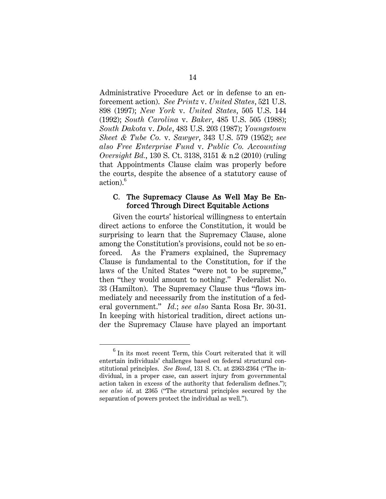Administrative Procedure Act or in defense to an enforcement action). *See Printz* v. *United States*, 521 U.S. 898 (1997); *New York* v. *United States*, 505 U.S. 144 (1992); *South Carolina* v. *Baker*, 485 U.S. 505 (1988); *South Dakota* v. *Dole*, 483 U.S. 203 (1987); *Youngstown Sheet & Tube Co.* v. *Sawyer*, 343 U.S. 579 (1952); *see also Free Enterprise Fund* v. *Public Co. Accounting Oversight Bd.*, 130 S. Ct. 3138, 3151 & n.2 (2010) (ruling that Appointments Clause claim was properly before the courts, despite the absence of a statutory cause of action).<sup>6</sup>

#### C. The Supremacy Clause As Well May Be Enforced Through Direct Equitable Actions

Given the courts' historical willingness to entertain direct actions to enforce the Constitution, it would be surprising to learn that the Supremacy Clause, alone among the Constitution's provisions, could not be so enforced. As the Framers explained, the Supremacy Clause is fundamental to the Constitution, for if the laws of the United States "were not to be supreme," then "they would amount to nothing." Federalist No. 33 (Hamilton). The Supremacy Clause thus "flows immediately and necessarily from the institution of a federal government." *Id.*; *see also* Santa Rosa Br. 30-31. In keeping with historical tradition, direct actions under the Supremacy Clause have played an important

<sup>&</sup>lt;sup>6</sup> In its most recent Term, this Court reiterated that it will entertain individuals' challenges based on federal structural constitutional principles. *See Bond*, 131 S. Ct. at 2363-2364 ("The individual, in a proper case, can assert injury from governmental action taken in excess of the authority that federalism defines."); *see also id*. at 2365 ("The structural principles secured by the separation of powers protect the individual as well.").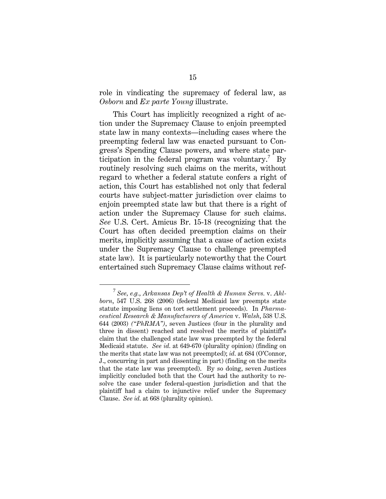role in vindicating the supremacy of federal law, as *Osborn* and *Ex parte Young* illustrate.

This Court has implicitly recognized a right of action under the Supremacy Clause to enjoin preempted state law in many contexts—including cases where the preempting federal law was enacted pursuant to Congress's Spending Clause powers, and where state participation in the federal program was voluntary.<sup>7</sup> By routinely resolving such claims on the merits, without regard to whether a federal statute confers a right of action, this Court has established not only that federal courts have subject-matter jurisdiction over claims to enjoin preempted state law but that there is a right of action under the Supremacy Clause for such claims. *See* U.S. Cert. Amicus Br. 15-18 (recognizing that the Court has often decided preemption claims on their merits, implicitly assuming that a cause of action exists under the Supremacy Clause to challenge preempted state law). It is particularly noteworthy that the Court entertained such Supremacy Clause claims without ref-

<sup>7</sup> *See, e.g.*, *Arkansas Dep't of Health & Human Servs.* v. *Ahlborn*, 547 U.S. 268 (2006) (federal Medicaid law preempts state statute imposing liens on tort settlement proceeds). In *Pharmaceutical Research & Manufacturers of America* v. *Walsh*, 538 U.S. 644 (2003) *("PhRMA")*, seven Justices (four in the plurality and three in dissent) reached and resolved the merits of plaintiff's claim that the challenged state law was preempted by the federal Medicaid statute. *See id.* at 649-670 (plurality opinion) (finding on the merits that state law was not preempted); *id.* at 684 (O'Connor, J., concurring in part and dissenting in part) (finding on the merits that the state law was preempted). By so doing, seven Justices implicitly concluded both that the Court had the authority to resolve the case under federal-question jurisdiction and that the plaintiff had a claim to injunctive relief under the Supremacy Clause. *See id.* at 668 (plurality opinion).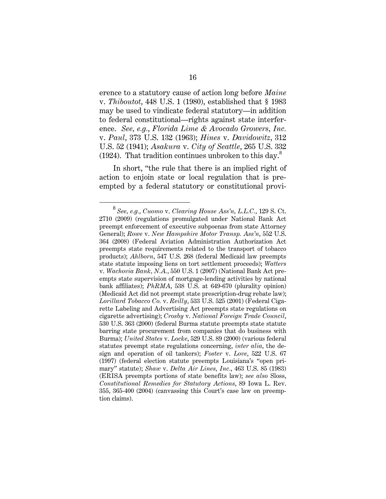erence to a statutory cause of action long before *Maine*  v. *Thiboutot*, 448 U.S. 1 (1980), established that § 1983 may be used to vindicate federal statutory—in addition to federal constitutional—rights against state interference. *See, e.g.*, *Florida Lime & Avocado Growers, Inc.* v. *Paul*, 373 U.S. 132 (1963); *Hines* v. *Davidowitz*, 312 U.S. 52 (1941); *Asakura* v. *City of Seattle*, 265 U.S. 332 (1924). That tradition continues unbroken to this day. $8$ 

In short, "the rule that there is an implied right of action to enjoin state or local regulation that is preempted by a federal statutory or constitutional provi-

<sup>8</sup> *See, e.g.*, *Cuomo* v. *Clearing House Ass'n, L.L.C.*, 129 S. Ct. 2710 (2009) (regulations promulgated under National Bank Act preempt enforcement of executive subpoenas from state Attorney General); *Rowe* v. *New Hampshire Motor Transp. Ass'n*, 552 U.S. 364 (2008) (Federal Aviation Administration Authorization Act preempts state requirements related to the transport of tobacco products); *Ahlborn*, 547 U.S. 268 (federal Medicaid law preempts state statute imposing liens on tort settlement proceeds); *Watters*  v. *Wachovia Bank, N.A.*, 550 U.S. 1 (2007) (National Bank Act preempts state supervision of mortgage-lending activities by national bank affiliates); *PhRMA*, 538 U.S. at 649-670 (plurality opinion) (Medicaid Act did not preempt state prescription-drug rebate law); *Lorillard Tobacco Co.* v. *Reilly*, 533 U.S. 525 (2001) (Federal Cigarette Labeling and Advertising Act preempts state regulations on cigarette advertising); *Crosby* v. *National Foreign Trade Council*, 530 U.S. 363 (2000) (federal Burma statute preempts state statute barring state procurement from companies that do business with Burma); *United States* v. *Locke*, 529 U.S. 89 (2000) (various federal statutes preempt state regulations concerning, *inter alia*, the design and operation of oil tankers); *Foster* v. *Love*, 522 U.S. 67 (1997) (federal election statute preempts Louisiana's "open primary" statute); *Shaw* v. *Delta Air Lines, Inc.*, 463 U.S. 85 (1983) (ERISA preempts portions of state benefits law); *see also* Sloss, *Constitutional Remedies for Statutory Actions*, 89 Iowa L. Rev. 355, 365-400 (2004) (canvassing this Court's case law on preemption claims).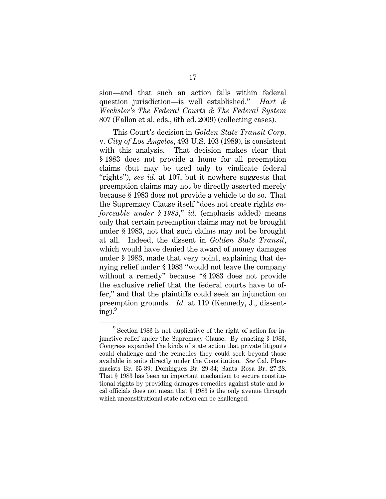sion—and that such an action falls within federal question jurisdiction—is well established." *Hart & Wechsler's The Federal Courts & The Federal System* 807 (Fallon et al. eds., 6th ed. 2009) (collecting cases).

This Court's decision in *Golden State Transit Corp.*  v*. City of Los Angeles*, 493 U.S. 103 (1989), is consistent with this analysis. That decision makes clear that § 1983 does not provide a home for all preemption claims (but may be used only to vindicate federal "rights"), *see id.* at 107, but it nowhere suggests that preemption claims may not be directly asserted merely because § 1983 does not provide a vehicle to do so. That the Supremacy Clause itself "does not create rights *enforceable under § 1983*," *id.* (emphasis added) means only that certain preemption claims may not be brought under § 1983, not that such claims may not be brought at all. Indeed, the dissent in *Golden State Transit*, which would have denied the award of money damages under § 1983, made that very point, explaining that denying relief under § 1983 "would not leave the company without a remedy" because "§ 1983 does not provide the exclusive relief that the federal courts have to offer," and that the plaintiffs could seek an injunction on preemption grounds. *Id.* at 119 (Kennedy, J., dissent $ing).<sup>9</sup>$ 

<sup>9</sup> Section 1983 is not duplicative of the right of action for injunctive relief under the Supremacy Clause. By enacting § 1983, Congress expanded the kinds of state action that private litigants could challenge and the remedies they could seek beyond those available in suits directly under the Constitution. *See* Cal. Pharmacists Br. 35-39; Dominguez Br. 29-34; Santa Rosa Br. 27-28. That § 1983 has been an important mechanism to secure constitutional rights by providing damages remedies against state and local officials does not mean that § 1983 is the only avenue through which unconstitutional state action can be challenged.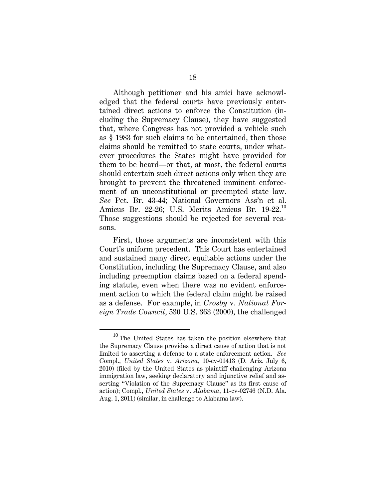Although petitioner and his amici have acknowledged that the federal courts have previously entertained direct actions to enforce the Constitution (including the Supremacy Clause), they have suggested that, where Congress has not provided a vehicle such as § 1983 for such claims to be entertained, then those claims should be remitted to state courts, under whatever procedures the States might have provided for them to be heard—or that, at most, the federal courts should entertain such direct actions only when they are brought to prevent the threatened imminent enforcement of an unconstitutional or preempted state law. *See* Pet. Br. 43-44; National Governors Ass'n et al. Amicus Br. 22-26; U.S. Merits Amicus Br. 19-22.<sup>10</sup> Those suggestions should be rejected for several reasons.

First, those arguments are inconsistent with this Court's uniform precedent. This Court has entertained and sustained many direct equitable actions under the Constitution, including the Supremacy Clause, and also including preemption claims based on a federal spending statute, even when there was no evident enforcement action to which the federal claim might be raised as a defense. For example, in *Crosby* v. *National Foreign Trade Council*, 530 U.S. 363 (2000), the challenged

 $^{10}$  The United States has taken the position elsewhere that the Supremacy Clause provides a direct cause of action that is not limited to asserting a defense to a state enforcement action. *See*  Compl., *United States* v. *Arizona*, 10-cv-01413 (D. Ariz. July 6, 2010) (filed by the United States as plaintiff challenging Arizona immigration law, seeking declaratory and injunctive relief and asserting "Violation of the Supremacy Clause" as its first cause of action); Compl., *United States* v. *Alabama*, 11-cv-02746 (N.D. Ala. Aug. 1, 2011) (similar, in challenge to Alabama law).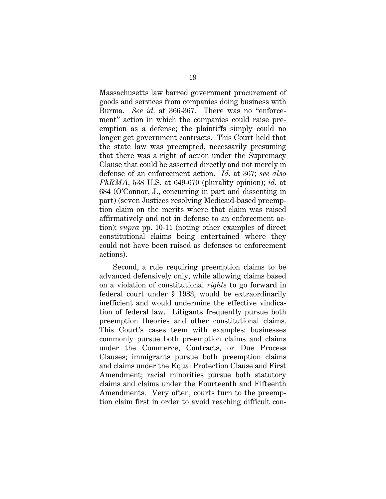Massachusetts law barred government procurement of goods and services from companies doing business with Burma. *See id.* at 366-367. There was no "enforcement" action in which the companies could raise preemption as a defense; the plaintiffs simply could no longer get government contracts. This Court held that the state law was preempted, necessarily presuming that there was a right of action under the Supremacy Clause that could be asserted directly and not merely in defense of an enforcement action. *Id.* at 367; *see also PhRMA*, 538 U.S. at 649-670 (plurality opinion); *id.* at 684 (O'Connor, J., concurring in part and dissenting in part) (seven Justices resolving Medicaid-based preemption claim on the merits where that claim was raised affirmatively and not in defense to an enforcement action); *supra* pp. 10-11 (noting other examples of direct constitutional claims being entertained where they could not have been raised as defenses to enforcement actions).

Second, a rule requiring preemption claims to be advanced defensively only, while allowing claims based on a violation of constitutional *rights* to go forward in federal court under § 1983, would be extraordinarily inefficient and would undermine the effective vindication of federal law. Litigants frequently pursue both preemption theories and other constitutional claims. This Court's cases teem with examples: businesses commonly pursue both preemption claims and claims under the Commerce, Contracts, or Due Process Clauses; immigrants pursue both preemption claims and claims under the Equal Protection Clause and First Amendment; racial minorities pursue both statutory claims and claims under the Fourteenth and Fifteenth Amendments. Very often, courts turn to the preemption claim first in order to avoid reaching difficult con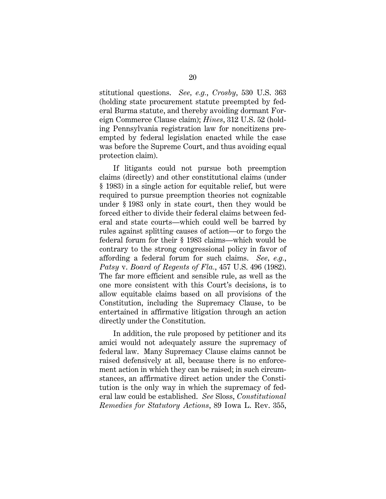stitutional questions. *See, e.g.*, *Crosby*, 530 U.S. 363 (holding state procurement statute preempted by federal Burma statute, and thereby avoiding dormant Foreign Commerce Clause claim); *Hines*, 312 U.S. 52 (holding Pennsylvania registration law for noncitizens preempted by federal legislation enacted while the case was before the Supreme Court, and thus avoiding equal protection claim).

If litigants could not pursue both preemption claims (directly) and other constitutional claims (under § 1983) in a single action for equitable relief, but were required to pursue preemption theories not cognizable under § 1983 only in state court, then they would be forced either to divide their federal claims between federal and state courts—which could well be barred by rules against splitting causes of action—or to forgo the federal forum for their § 1983 claims—which would be contrary to the strong congressional policy in favor of affording a federal forum for such claims. *See, e.g.*, *Patsy* v. *Board of Regents of Fla.*, 457 U.S. 496 (1982). The far more efficient and sensible rule, as well as the one more consistent with this Court's decisions, is to allow equitable claims based on all provisions of the Constitution, including the Supremacy Clause, to be entertained in affirmative litigation through an action directly under the Constitution.

In addition, the rule proposed by petitioner and its amici would not adequately assure the supremacy of federal law. Many Supremacy Clause claims cannot be raised defensively at all, because there is no enforcement action in which they can be raised; in such circumstances, an affirmative direct action under the Constitution is the only way in which the supremacy of federal law could be established. *See* Sloss, *Constitutional Remedies for Statutory Actions*, 89 Iowa L. Rev. 355,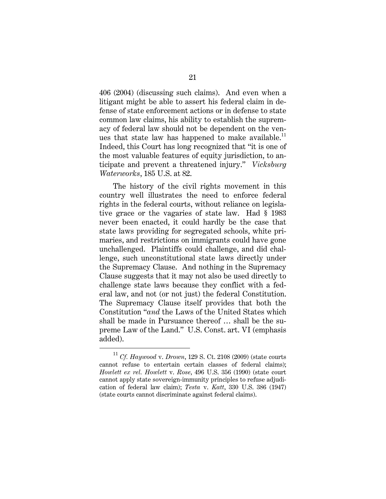406 (2004) (discussing such claims). And even when a litigant might be able to assert his federal claim in defense of state enforcement actions or in defense to state common law claims, his ability to establish the supremacy of federal law should not be dependent on the venues that state law has happened to make available.<sup>11</sup> Indeed, this Court has long recognized that "it is one of the most valuable features of equity jurisdiction, to anticipate and prevent a threatened injury." *Vicksburg Waterworks*, 185 U.S. at 82.

The history of the civil rights movement in this country well illustrates the need to enforce federal rights in the federal courts, without reliance on legislative grace or the vagaries of state law. Had § 1983 never been enacted, it could hardly be the case that state laws providing for segregated schools, white primaries, and restrictions on immigrants could have gone unchallenged. Plaintiffs could challenge, and did challenge, such unconstitutional state laws directly under the Supremacy Clause. And nothing in the Supremacy Clause suggests that it may not also be used directly to challenge state laws because they conflict with a federal law, and not (or not just) the federal Constitution. The Supremacy Clause itself provides that both the Constitution "*and* the Laws of the United States which shall be made in Pursuance thereof … shall be the supreme Law of the Land." U.S. Const. art. VI (emphasis added).

 $\prescript{11}{}{C}f.$   $Haywood$  v.  $Drown,$  129 S. Ct. 2108 (2009) (state courts cannot refuse to entertain certain classes of federal claims); *Howlett ex rel. Howlett* v. *Rose*, 496 U.S. 356 (1990) (state court cannot apply state sovereign-immunity principles to refuse adjudication of federal law claim); *Testa* v. *Katt*, 330 U.S. 386 (1947) (state courts cannot discriminate against federal claims).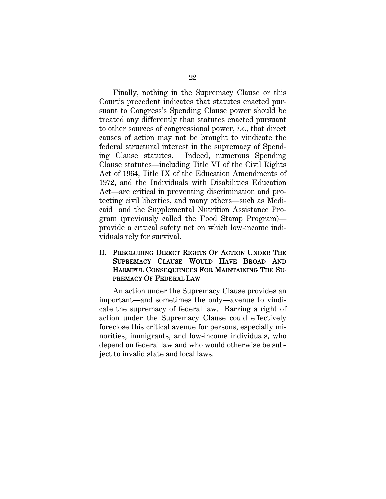Finally, nothing in the Supremacy Clause or this Court's precedent indicates that statutes enacted pursuant to Congress's Spending Clause power should be treated any differently than statutes enacted pursuant to other sources of congressional power, *i.e.*, that direct causes of action may not be brought to vindicate the federal structural interest in the supremacy of Spending Clause statutes. Indeed, numerous Spending Clause statutes—including Title VI of the Civil Rights Act of 1964, Title IX of the Education Amendments of 1972, and the Individuals with Disabilities Education Act—are critical in preventing discrimination and protecting civil liberties, and many others—such as Medicaid and the Supplemental Nutrition Assistance Program (previously called the Food Stamp Program) provide a critical safety net on which low-income individuals rely for survival.

#### II. PRECLUDING DIRECT RIGHTS OF ACTION UNDER THE SUPREMACY CLAUSE WOULD HAVE BROAD AND HARMFUL CONSEQUENCES FOR MAINTAINING THE SU-PREMACY OF FEDERAL LAW

An action under the Supremacy Clause provides an important—and sometimes the only—avenue to vindicate the supremacy of federal law. Barring a right of action under the Supremacy Clause could effectively foreclose this critical avenue for persons, especially minorities, immigrants, and low-income individuals, who depend on federal law and who would otherwise be subject to invalid state and local laws.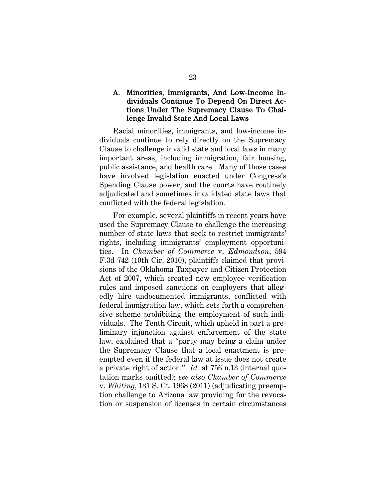### A. Minorities, Immigrants, And Low-Income Individuals Continue To Depend On Direct Actions Under The Supremacy Clause To Challenge Invalid State And Local Laws

Racial minorities, immigrants, and low-income individuals continue to rely directly on the Supremacy Clause to challenge invalid state and local laws in many important areas, including immigration, fair housing, public assistance, and health care. Many of those cases have involved legislation enacted under Congress's Spending Clause power, and the courts have routinely adjudicated and sometimes invalidated state laws that conflicted with the federal legislation.

For example, several plaintiffs in recent years have used the Supremacy Clause to challenge the increasing number of state laws that seek to restrict immigrants' rights, including immigrants' employment opportunities. In *Chamber of Commerce* v. *Edmondson*, 594 F.3d 742 (10th Cir. 2010), plaintiffs claimed that provisions of the Oklahoma Taxpayer and Citizen Protection Act of 2007, which created new employee verification rules and imposed sanctions on employers that allegedly hire undocumented immigrants, conflicted with federal immigration law, which sets forth a comprehensive scheme prohibiting the employment of such individuals. The Tenth Circuit, which upheld in part a preliminary injunction against enforcement of the state law, explained that a "party may bring a claim under the Supremacy Clause that a local enactment is preempted even if the federal law at issue does not create a private right of action." *Id.* at 756 n.13 (internal quotation marks omitted); *see also Chamber of Commerce* v. *Whiting*, 131 S. Ct. 1968 (2011) (adjudicating preemption challenge to Arizona law providing for the revocation or suspension of licenses in certain circumstances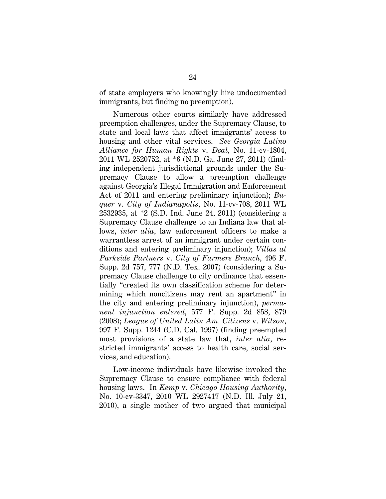of state employers who knowingly hire undocumented immigrants, but finding no preemption).

Numerous other courts similarly have addressed preemption challenges, under the Supremacy Clause, to state and local laws that affect immigrants' access to housing and other vital services. *See Georgia Latino Alliance for Human Rights* v. *Deal*, No. 11-cv-1804, 2011 WL 2520752, at \*6 (N.D. Ga. June 27, 2011) (finding independent jurisdictional grounds under the Supremacy Clause to allow a preemption challenge against Georgia's Illegal Immigration and Enforcement Act of 2011 and entering preliminary injunction); *Buquer* v. *City of Indianapolis*, No. 11-cv-708, 2011 WL 2532935, at \*2 (S.D. Ind. June 24, 2011) (considering a Supremacy Clause challenge to an Indiana law that allows, *inter alia*, law enforcement officers to make a warrantless arrest of an immigrant under certain conditions and entering preliminary injunction); *Villas at Parkside Partners* v. *City of Farmers Branch*, 496 F. Supp. 2d 757, 777 (N.D. Tex. 2007) (considering a Supremacy Clause challenge to city ordinance that essentially "created its own classification scheme for determining which noncitizens may rent an apartment" in the city and entering preliminary injunction), *permanent injunction entered*, 577 F. Supp. 2d 858, 879 (2008); *League of United Latin Am. Citizens* v. *Wilson*, 997 F. Supp. 1244 (C.D. Cal. 1997) (finding preempted most provisions of a state law that, *inter alia*, restricted immigrants' access to health care, social services, and education).

Low-income individuals have likewise invoked the Supremacy Clause to ensure compliance with federal housing laws. In *Kemp* v. *Chicago Housing Authority*, No. 10-cv-3347, 2010 WL 2927417 (N.D. Ill. July 21, 2010), a single mother of two argued that municipal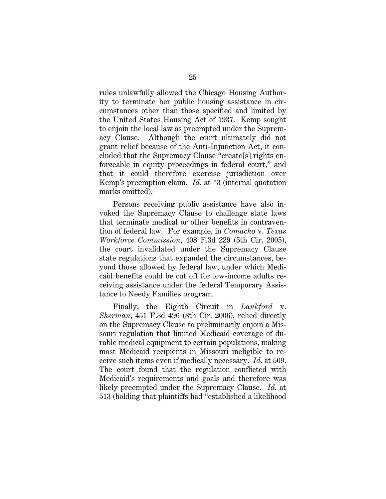rules unlawfully allowed the Chicago Housing Authority to terminate her public housing assistance in circumstances other than those specified and limited by the United States Housing Act of 1937. Kemp sought to enjoin the local law as preempted under the Supremacy Clause. Although the court ultimately did not grant relief because of the Anti-Injunction Act, it concluded that the Supremacy Clause "create[s] rights enforceable in equity proceedings in federal court," and that it could therefore exercise jurisdiction over Kemp's preemption claim. *Id.* at \*3 (internal quotation marks omitted).

Persons receiving public assistance have also invoked the Supremacy Clause to challenge state laws that terminate medical or other benefits in contravention of federal law. For example, in *Comacho* v. *Texas Workforce Commission*, 408 F.3d 229 (5th Cir. 2005), the court invalidated under the Supremacy Clause state regulations that expanded the circumstances, beyond those allowed by federal law, under which Medicaid benefits could be cut off for low-income adults receiving assistance under the federal Temporary Assistance to Needy Families program.

Finally, the Eighth Circuit in *Lankford* v. *Sherman*, 451 F.3d 496 (8th Cir. 2006), relied directly on the Supremacy Clause to preliminarily enjoin a Missouri regulation that limited Medicaid coverage of durable medical equipment to certain populations, making most Medicaid recipients in Missouri ineligible to receive such items even if medically necessary. *Id.* at 509. The court found that the regulation conflicted with Medicaid's requirements and goals and therefore was likely preempted under the Supremacy Clause. *Id.* at 513 (holding that plaintiffs had "established a likelihood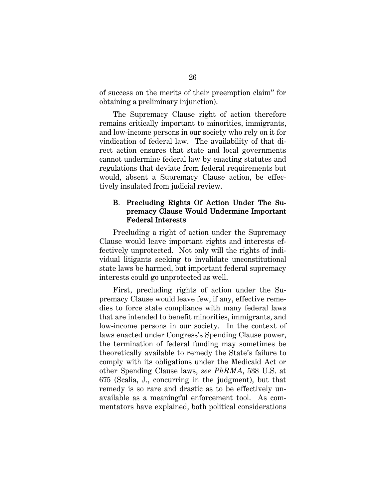of success on the merits of their preemption claim" for obtaining a preliminary injunction).

The Supremacy Clause right of action therefore remains critically important to minorities, immigrants, and low-income persons in our society who rely on it for vindication of federal law. The availability of that direct action ensures that state and local governments cannot undermine federal law by enacting statutes and regulations that deviate from federal requirements but would, absent a Supremacy Clause action, be effectively insulated from judicial review.

#### B. Precluding Rights Of Action Under The Supremacy Clause Would Undermine Important Federal Interests

Precluding a right of action under the Supremacy Clause would leave important rights and interests effectively unprotected. Not only will the rights of individual litigants seeking to invalidate unconstitutional state laws be harmed, but important federal supremacy interests could go unprotected as well.

First, precluding rights of action under the Supremacy Clause would leave few, if any, effective remedies to force state compliance with many federal laws that are intended to benefit minorities, immigrants, and low-income persons in our society. In the context of laws enacted under Congress's Spending Clause power, the termination of federal funding may sometimes be theoretically available to remedy the State's failure to comply with its obligations under the Medicaid Act or other Spending Clause laws, *see PhRMA*, 538 U.S. at 675 (Scalia, J., concurring in the judgment), but that remedy is so rare and drastic as to be effectively unavailable as a meaningful enforcement tool. As commentators have explained, both political considerations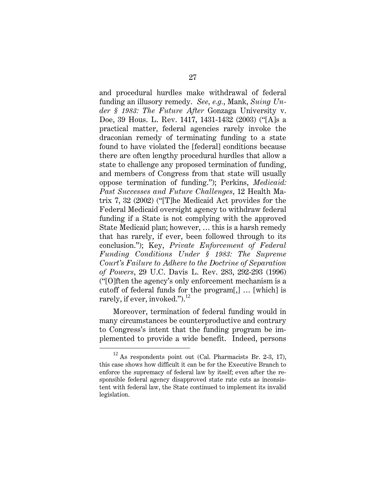and procedural hurdles make withdrawal of federal funding an illusory remedy. *See, e.g.*, Mank, *Suing Under § 1983: The Future After* Gonzaga University v. Doe, 39 Hous. L. Rev. 1417, 1431-1432 (2003) ("[A]s a practical matter, federal agencies rarely invoke the draconian remedy of terminating funding to a state found to have violated the [federal] conditions because there are often lengthy procedural hurdles that allow a state to challenge any proposed termination of funding, and members of Congress from that state will usually oppose termination of funding."); Perkins, *Medicaid: Past Successes and Future Challenges*, 12 Health Matrix 7, 32 (2002) ("[T]he Medicaid Act provides for the Federal Medicaid oversight agency to withdraw federal funding if a State is not complying with the approved State Medicaid plan; however, … this is a harsh remedy that has rarely, if ever, been followed through to its conclusion."); Key, *Private Enforcement of Federal Funding Conditions Under § 1983: The Supreme Court's Failure to Adhere to the Doctrine of Separation of Powers*, 29 U.C. Davis L. Rev. 283, 292-293 (1996) ("[O]ften the agency's only enforcement mechanism is a cutoff of federal funds for the program[,] … [which] is rarely, if ever, invoked." $)^{12}$ 

Moreover, termination of federal funding would in many circumstances be counterproductive and contrary to Congress's intent that the funding program be implemented to provide a wide benefit. Indeed, persons

 $12$  As respondents point out (Cal. Pharmacists Br. 2-3, 17), this case shows how difficult it can be for the Executive Branch to enforce the supremacy of federal law by itself; even after the responsible federal agency disapproved state rate cuts as inconsistent with federal law, the State continued to implement its invalid legislation.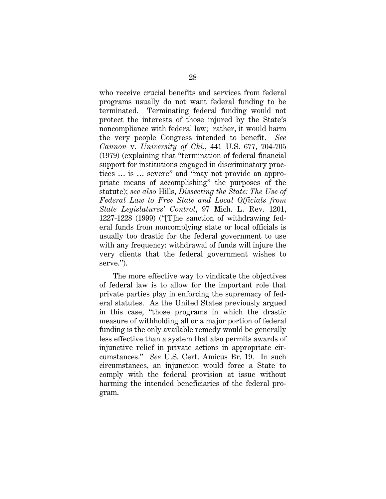who receive crucial benefits and services from federal programs usually do not want federal funding to be terminated. Terminating federal funding would not protect the interests of those injured by the State's noncompliance with federal law; rather, it would harm the very people Congress intended to benefit. *See Cannon* v. *University of Chi.*, 441 U.S. 677, 704-705 (1979) (explaining that "termination of federal financial support for institutions engaged in discriminatory practices … is … severe" and "may not provide an appropriate means of accomplishing" the purposes of the statute); *see also* Hills, *Dissecting the State: The Use of Federal Law to Free State and Local Officials from State Legislatures' Control*, 97 Mich. L. Rev. 1201, 1227-1228 (1999) ("[T]he sanction of withdrawing federal funds from noncomplying state or local officials is usually too drastic for the federal government to use with any frequency: withdrawal of funds will injure the very clients that the federal government wishes to serve.").

The more effective way to vindicate the objectives of federal law is to allow for the important role that private parties play in enforcing the supremacy of federal statutes. As the United States previously argued in this case, "those programs in which the drastic measure of withholding all or a major portion of federal funding is the only available remedy would be generally less effective than a system that also permits awards of injunctive relief in private actions in appropriate circumstances." *See* U.S. Cert. Amicus Br. 19. In such circumstances, an injunction would force a State to comply with the federal provision at issue without harming the intended beneficiaries of the federal program.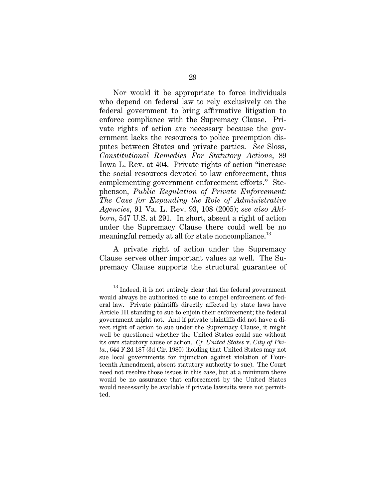Nor would it be appropriate to force individuals who depend on federal law to rely exclusively on the federal government to bring affirmative litigation to enforce compliance with the Supremacy Clause. Private rights of action are necessary because the government lacks the resources to police preemption disputes between States and private parties. *See* Sloss, *Constitutional Remedies For Statutory Actions*, 89 Iowa L. Rev. at 404. Private rights of action "increase the social resources devoted to law enforcement, thus complementing government enforcement efforts." Stephenson, *Public Regulation of Private Enforcement: The Case for Expanding the Role of Administrative Agencies*, 91 Va. L. Rev. 93, 108 (2005); *see also Ahlborn*, 547 U.S. at 291. In short, absent a right of action under the Supremacy Clause there could well be no meaningful remedy at all for state noncompliance. $^{13}$ 

A private right of action under the Supremacy Clause serves other important values as well. The Supremacy Clause supports the structural guarantee of

<sup>&</sup>lt;sup>13</sup> Indeed, it is not entirely clear that the federal government would always be authorized to sue to compel enforcement of federal law. Private plaintiffs directly affected by state laws have Article III standing to sue to enjoin their enforcement; the federal government might not. And if private plaintiffs did not have a direct right of action to sue under the Supremacy Clause, it might well be questioned whether the United States could sue without its own statutory cause of action. *Cf. United States* v. *City of Phila.*, 644 F.2d 187 (3d Cir. 1980) (holding that United States may not sue local governments for injunction against violation of Fourteenth Amendment, absent statutory authority to sue). The Court need not resolve those issues in this case, but at a minimum there would be no assurance that enforcement by the United States would necessarily be available if private lawsuits were not permitted.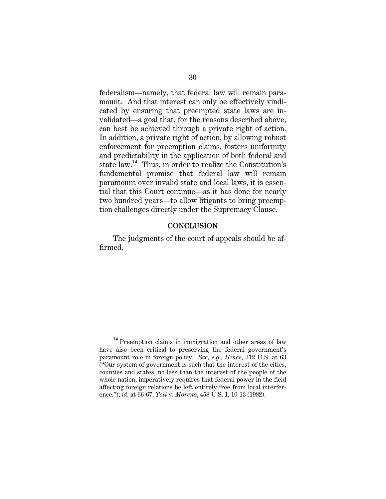federalism—namely, that federal law will remain paramount. And that interest can only be effectively vindicated by ensuring that preempted state laws are invalidated—a goal that, for the reasons described above, can best be achieved through a private right of action. In addition, a private right of action, by allowing robust enforcement for preemption claims, fosters uniformity and predictability in the application of both federal and state law.<sup>14</sup> Thus, in order to realize the Constitution's fundamental promise that federal law will remain paramount over invalid state and local laws, it is essential that this Court continue—as it has done for nearly two hundred years—to allow litigants to bring preemption challenges directly under the Supremacy Clause.

#### **CONCLUSION**

The judgments of the court of appeals should be affirmed.

 $14$  Preemption claims in immigration and other areas of law have also been critical to preserving the federal government's paramount role in foreign policy. *See, e.g.*, *Hines*, 312 U.S. at 63 ("Our system of government is such that the interest of the cities, counties and states, no less than the interest of the people of the whole nation, imperatively requires that federal power in the field affecting foreign relations be left entirely free from local interference."); *id.* at 66-67; *Toll* v. *Moreno*, 458 U.S. 1, 10-13 (1982).